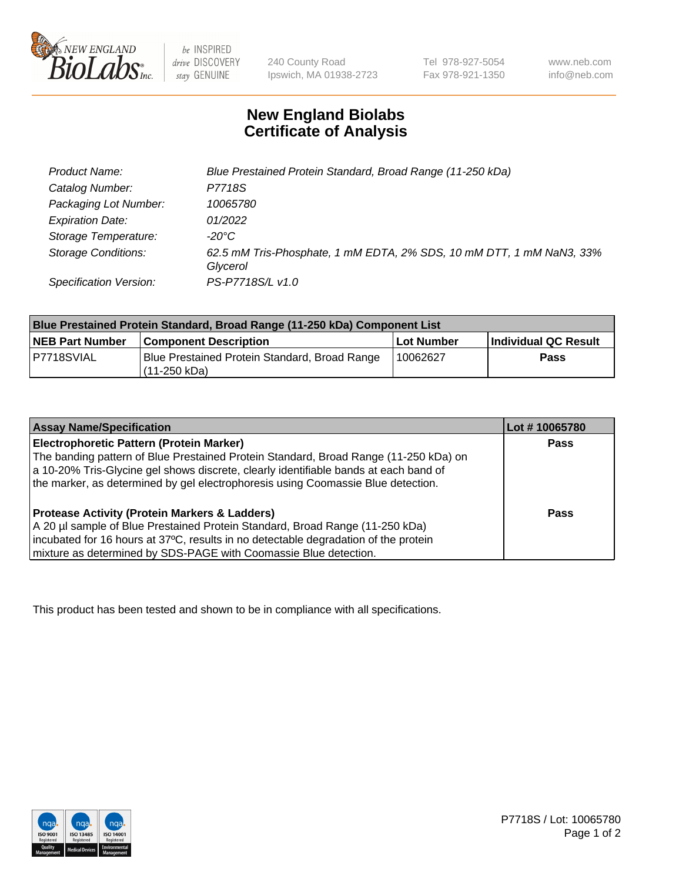

be INSPIRED drive DISCOVERY stay GENUINE

240 County Road Ipswich, MA 01938-2723 Tel 978-927-5054 Fax 978-921-1350

www.neb.com info@neb.com

## **New England Biolabs Certificate of Analysis**

| Product Name:              | Blue Prestained Protein Standard, Broad Range (11-250 kDa)                       |
|----------------------------|----------------------------------------------------------------------------------|
| Catalog Number:            | P7718S                                                                           |
| Packaging Lot Number:      | 10065780                                                                         |
| <b>Expiration Date:</b>    | 01/2022                                                                          |
| Storage Temperature:       | -20°C                                                                            |
| <b>Storage Conditions:</b> | 62.5 mM Tris-Phosphate, 1 mM EDTA, 2% SDS, 10 mM DTT, 1 mM NaN3, 33%<br>Glycerol |
| Specification Version:     | PS-P7718S/L v1.0                                                                 |

| <b>Blue Prestained Protein Standard, Broad Range (11-250 kDa) Component List</b> |                                                                 |              |                      |  |
|----------------------------------------------------------------------------------|-----------------------------------------------------------------|--------------|----------------------|--|
| <b>NEB Part Number</b>                                                           | <b>Component Description</b>                                    | l Lot Number | Individual QC Result |  |
| P7718SVIAL                                                                       | Blue Prestained Protein Standard, Broad Range<br>l (11-250 kDa) | 10062627     | <b>Pass</b>          |  |

| <b>Assay Name/Specification</b>                                                      | Lot #10065780 |
|--------------------------------------------------------------------------------------|---------------|
| <b>Electrophoretic Pattern (Protein Marker)</b>                                      | <b>Pass</b>   |
| The banding pattern of Blue Prestained Protein Standard, Broad Range (11-250 kDa) on |               |
| a 10-20% Tris-Glycine gel shows discrete, clearly identifiable bands at each band of |               |
| the marker, as determined by gel electrophoresis using Coomassie Blue detection.     |               |
|                                                                                      |               |
| <b>Protease Activity (Protein Markers &amp; Ladders)</b>                             | <b>Pass</b>   |
| A 20 µl sample of Blue Prestained Protein Standard, Broad Range (11-250 kDa)         |               |
| incubated for 16 hours at 37°C, results in no detectable degradation of the protein  |               |
| mixture as determined by SDS-PAGE with Coomassie Blue detection.                     |               |

This product has been tested and shown to be in compliance with all specifications.